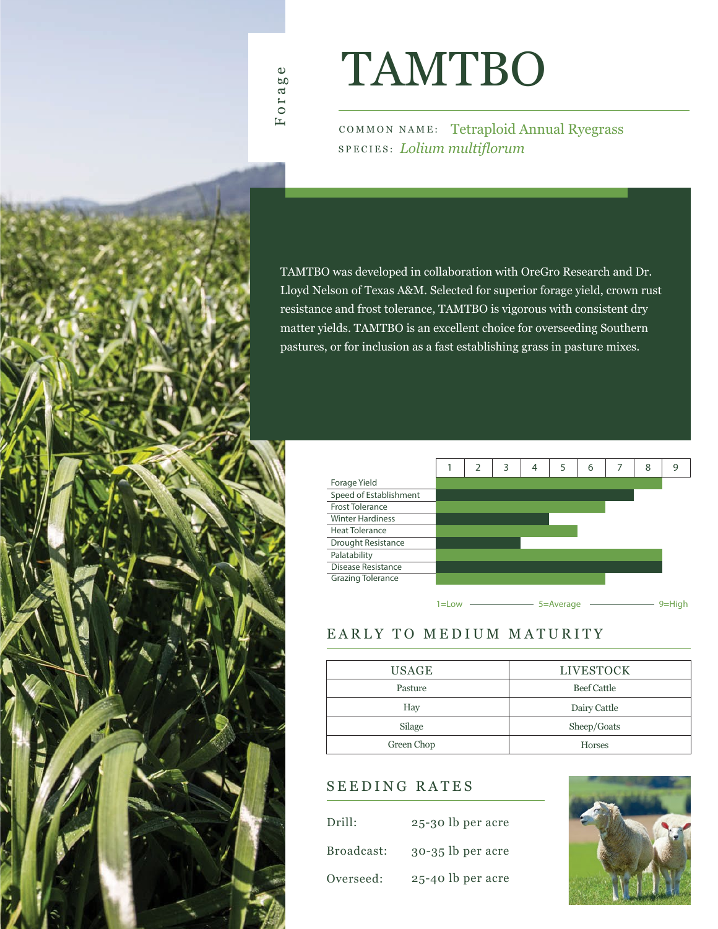# TAMTBO

COMMON NAME: Tetraploid Annual Ryegrass SPECIES: *Lolium multiflorum*

TAMTBO was developed in collaboration with OreGro Research and Dr. Lloyd Nelson of Texas A&M. Selected for superior forage yield, crown rust resistance and frost tolerance, TAMTBO is vigorous with consistent dry matter yields. TAMTBO is an excellent choice for overseeding Southern pastures, or for inclusion as a fast establishing grass in pasture mixes.



#### EARLY TO MEDIUM MATURITY

| <b>USAGE</b> | <b>LIVESTOCK</b> |
|--------------|------------------|
| Pasture      | Beef Cattle      |
| Hay          | Dairy Cattle     |
| Silage       | Sheep/Goats      |
| Green Chop   | <b>Horses</b>    |

### SEEDING RATES

| Drill:     | 25-30 lb per acre   |
|------------|---------------------|
| Broadcast: | $30-35$ lb per acre |
| Overseed:  | 25-40 lb per acre   |